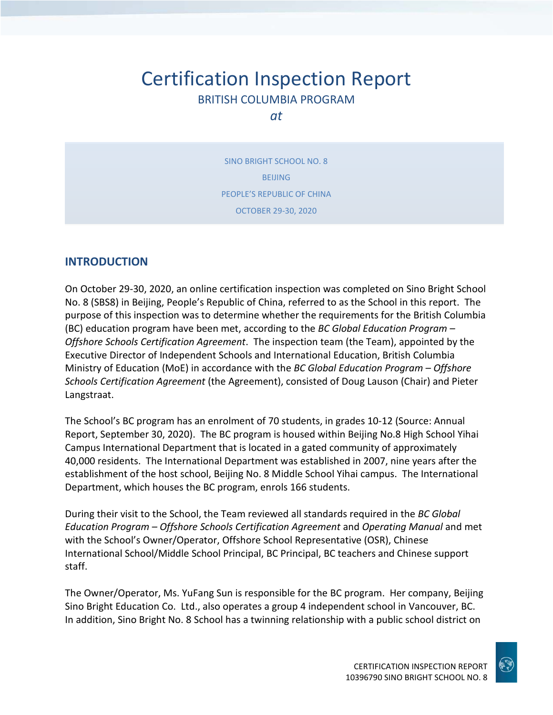# Certification Inspection Report BRITISH COLUMBIA PROGRAM

*at*

SINO BRIGHT SCHOOL NO. 8 BEIJING PEOPLE'S REPUBLIC OF CHINA OCTOBER 29-30, 2020

### **INTRODUCTION**

On October 29-30, 2020, an online certification inspection was completed on Sino Bright School No. 8 (SBS8) in Beijing, People's Republic of China, referred to as the School in this report. The purpose of this inspection was to determine whether the requirements for the British Columbia (BC) education program have been met, according to the *BC Global Education Program – Offshore Schools Certification Agreement*. The inspection team (the Team), appointed by the Executive Director of Independent Schools and International Education, British Columbia Ministry of Education (MoE) in accordance with the *BC Global Education Program – Offshore Schools Certification Agreement* (the Agreement), consisted of Doug Lauson (Chair) and Pieter Langstraat.

The School's BC program has an enrolment of 70 students, in grades 10-12 (Source: Annual Report, September 30, 2020). The BC program is housed within Beijing No.8 High School Yihai Campus International Department that is located in a gated community of approximately 40,000 residents. The International Department was established in 2007, nine years after the establishment of the host school, Beijing No. 8 Middle School Yihai campus. The International Department, which houses the BC program, enrols 166 students.

During their visit to the School, the Team reviewed all standards required in the *BC Global Education Program – Offshore Schools Certification Agreement* and *Operating Manual* and met with the School's Owner/Operator, Offshore School Representative (OSR), Chinese International School/Middle School Principal, BC Principal, BC teachers and Chinese support staff.

The Owner/Operator, Ms. YuFang Sun is responsible for the BC program. Her company, Beijing Sino Bright Education Co. Ltd., also operates a group 4 independent school in Vancouver, BC. In addition, Sino Bright No. 8 School has a twinning relationship with a public school district on

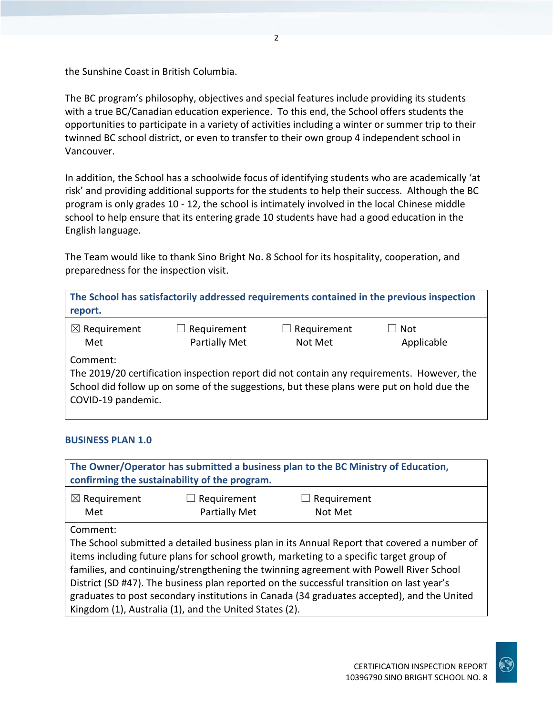the Sunshine Coast in British Columbia.

The BC program's philosophy, objectives and special features include providing its students with a true BC/Canadian education experience. To this end, the School offers students the opportunities to participate in a variety of activities including a winter or summer trip to their twinned BC school district, or even to transfer to their own group 4 independent school in Vancouver.

In addition, the School has a schoolwide focus of identifying students who are academically 'at risk' and providing additional supports for the students to help their success. Although the BC program is only grades 10 - 12, the school is intimately involved in the local Chinese middle school to help ensure that its entering grade 10 students have had a good education in the English language.

The Team would like to thank Sino Bright No. 8 School for its hospitality, cooperation, and preparedness for the inspection visit.

**The School has satisfactorily addressed requirements contained in the previous inspection report.**

| Applicable<br>Partially Met<br>Not Met<br>Met | $\boxtimes$ Requirement | $\Box$ Requirement | $\Box$ Requirement | $\Box$ Not |
|-----------------------------------------------|-------------------------|--------------------|--------------------|------------|
|                                               |                         |                    |                    |            |

Comment:

The 2019/20 certification inspection report did not contain any requirements. However, the School did follow up on some of the suggestions, but these plans were put on hold due the COVID-19 pandemic.

#### **BUSINESS PLAN 1.0**

| The Owner/Operator has submitted a business plan to the BC Ministry of Education,<br>confirming the sustainability of the program. |               |             |  |
|------------------------------------------------------------------------------------------------------------------------------------|---------------|-------------|--|
| $\boxtimes$ Requirement                                                                                                            | Requirement   | Requirement |  |
| Met                                                                                                                                | Partially Met | Not Met     |  |
| Comment:                                                                                                                           |               |             |  |
| The School submitted a detailed business plan in its Annual Report that covered a number of                                        |               |             |  |
| items including future plans for school growth, marketing to a specific target group of                                            |               |             |  |
| families, and continuing/strengthening the twinning agreement with Powell River School                                             |               |             |  |
| District (SD #47). The business plan reported on the successful transition on last year's                                          |               |             |  |
| graduates to post secondary institutions in Canada (34 graduates accepted), and the United                                         |               |             |  |
| Kingdom (1), Australia (1), and the United States (2).                                                                             |               |             |  |

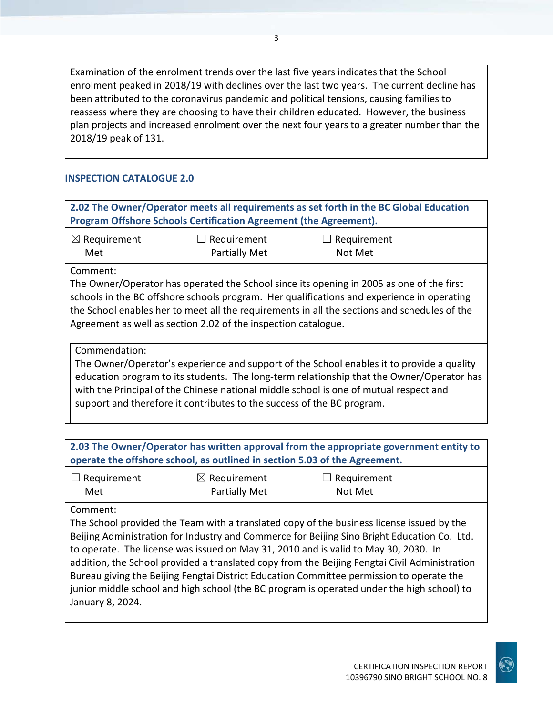Examination of the enrolment trends over the last five years indicates that the School enrolment peaked in 2018/19 with declines over the last two years. The current decline has been attributed to the coronavirus pandemic and political tensions, causing families to reassess where they are choosing to have their children educated. However, the business plan projects and increased enrolment over the next four years to a greater number than the 2018/19 peak of 131.

#### **INSPECTION CATALOGUE 2.0**

| 2.02 The Owner/Operator meets all requirements as set forth in the BC Global Education<br>Program Offshore Schools Certification Agreement (the Agreement).                                                                                                                                                                                                                |                                                                            |                                                                                                                                                                                                                                                                                        |  |
|----------------------------------------------------------------------------------------------------------------------------------------------------------------------------------------------------------------------------------------------------------------------------------------------------------------------------------------------------------------------------|----------------------------------------------------------------------------|----------------------------------------------------------------------------------------------------------------------------------------------------------------------------------------------------------------------------------------------------------------------------------------|--|
| $\boxtimes$ Requirement<br>Met                                                                                                                                                                                                                                                                                                                                             | Requirement<br><b>Partially Met</b>                                        | $\Box$ Requirement<br>Not Met                                                                                                                                                                                                                                                          |  |
| Comment:                                                                                                                                                                                                                                                                                                                                                                   | Agreement as well as section 2.02 of the inspection catalogue.             | The Owner/Operator has operated the School since its opening in 2005 as one of the first<br>schools in the BC offshore schools program. Her qualifications and experience in operating<br>the School enables her to meet all the requirements in all the sections and schedules of the |  |
| Commendation:<br>The Owner/Operator's experience and support of the School enables it to provide a quality<br>education program to its students. The long-term relationship that the Owner/Operator has<br>with the Principal of the Chinese national middle school is one of mutual respect and<br>support and therefore it contributes to the success of the BC program. |                                                                            |                                                                                                                                                                                                                                                                                        |  |
|                                                                                                                                                                                                                                                                                                                                                                            | operate the offshore school, as outlined in section 5.03 of the Agreement. | 2.03 The Owner/Operator has written approval from the appropriate government entity to                                                                                                                                                                                                 |  |
| $\Box$ Requirement                                                                                                                                                                                                                                                                                                                                                         | $\boxtimes$ Requirement                                                    | $\Box$ Requirement                                                                                                                                                                                                                                                                     |  |

| $\Box$ Requirement | $\boxtimes$ Requirement | $\Box$ Requirement |
|--------------------|-------------------------|--------------------|
| Met                | Partially Met           | Not Met            |

Comment:

The School provided the Team with a translated copy of the business license issued by the Beijing Administration for Industry and Commerce for Beijing Sino Bright Education Co. Ltd. to operate. The license was issued on May 31, 2010 and is valid to May 30, 2030. In addition, the School provided a translated copy from the Beijing Fengtai Civil Administration Bureau giving the Beijing Fengtai District Education Committee permission to operate the junior middle school and high school (the BC program is operated under the high school) to January 8, 2024.

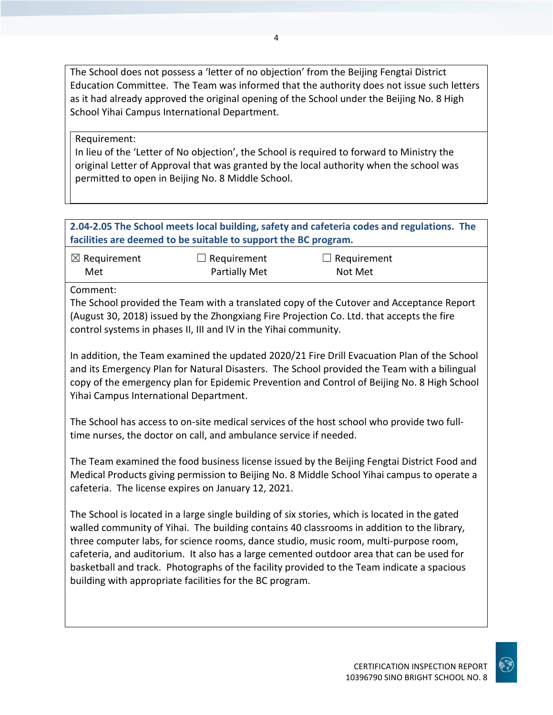The School does not possess a 'letter of no objection' from the Beijing Fengtai District Education Committee. The Team was informed that the authority does not issue such letters as it had already approved the original opening of the School under the Beijing No. 8 High School Yihai Campus International Department.

Requirement:

In lieu of the 'Letter of No objection', the School is required to forward to Ministry the original Letter of Approval that was granted by the local authority when the school was permitted to open in Beijing No. 8 Middle School.

**2.04-2.05 The School meets local building, safety and cafeteria codes and regulations. The facilities are deemed to be suitable to support the BC program.**

| $\boxtimes$ Requirement | $\Box$ Requirement   | $\Box$ Requirement |  |
|-------------------------|----------------------|--------------------|--|
| Met                     | <b>Partially Met</b> | Not Met            |  |

Comment:

The School provided the Team with a translated copy of the Cutover and Acceptance Report (August 30, 2018) issued by the Zhongxiang Fire Projection Co. Ltd. that accepts the fire control systems in phases II, III and IV in the Yihai community.

In addition, the Team examined the updated 2020/21 Fire Drill Evacuation Plan of the School and its Emergency Plan for Natural Disasters. The School provided the Team with a bilingual copy of the emergency plan for Epidemic Prevention and Control of Beijing No. 8 High School Yihai Campus International Department.

The School has access to on-site medical services of the host school who provide two fulltime nurses, the doctor on call, and ambulance service if needed.

The Team examined the food business license issued by the Beijing Fengtai District Food and Medical Products giving permission to Beijing No. 8 Middle School Yihai campus to operate a cafeteria. The license expires on January 12, 2021.

The School is located in a large single building of six stories, which is located in the gated walled community of Yihai. The building contains 40 classrooms in addition to the library, three computer labs, for science rooms, dance studio, music room, multi-purpose room, cafeteria, and auditorium. It also has a large cemented outdoor area that can be used for basketball and track. Photographs of the facility provided to the Team indicate a spacious building with appropriate facilities for the BC program.

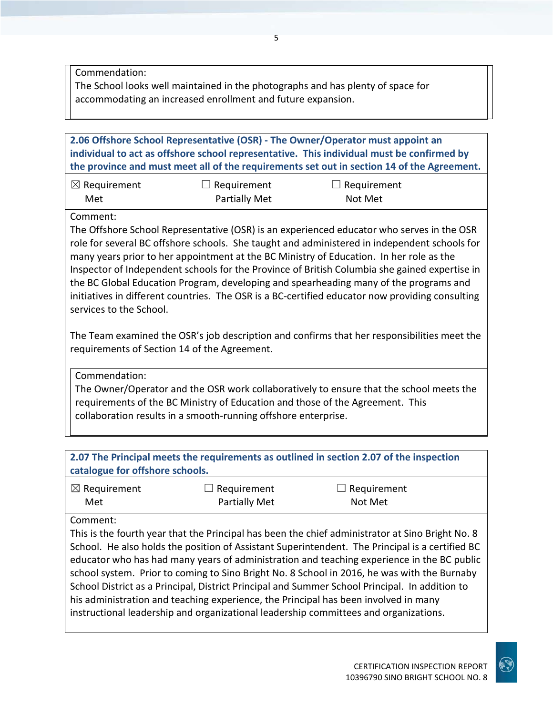Commendation:

The School looks well maintained in the photographs and has plenty of space for accommodating an increased enrollment and future expansion.

**2.06 Offshore School Representative (OSR) - The Owner/Operator must appoint an individual to act as offshore school representative. This individual must be confirmed by the province and must meet all of the requirements set out in section 14 of the Agreement.**

| $\boxtimes$ Requirement | $\Box$ Requirement   | $\Box$ Requirement |
|-------------------------|----------------------|--------------------|
| Met                     | <b>Partially Met</b> | Not Met            |

Comment:

The Offshore School Representative (OSR) is an experienced educator who serves in the OSR role for several BC offshore schools. She taught and administered in independent schools for many years prior to her appointment at the BC Ministry of Education. In her role as the Inspector of Independent schools for the Province of British Columbia she gained expertise in the BC Global Education Program, developing and spearheading many of the programs and initiatives in different countries. The OSR is a BC-certified educator now providing consulting services to the School.

The Team examined the OSR's job description and confirms that her responsibilities meet the requirements of Section 14 of the Agreement.

Commendation:

The Owner/Operator and the OSR work collaboratively to ensure that the school meets the requirements of the BC Ministry of Education and those of the Agreement. This collaboration results in a smooth-running offshore enterprise.

**2.07 The Principal meets the requirements as outlined in section 2.07 of the inspection catalogue for offshore schools.**

| $\boxtimes$ Requirement | $\Box$ Requirement   | $\Box$ Requirement |
|-------------------------|----------------------|--------------------|
| Met                     | <b>Partially Met</b> | Not Met            |

Comment:

This is the fourth year that the Principal has been the chief administrator at Sino Bright No. 8 School. He also holds the position of Assistant Superintendent. The Principal is a certified BC educator who has had many years of administration and teaching experience in the BC public school system. Prior to coming to Sino Bright No. 8 School in 2016, he was with the Burnaby School District as a Principal, District Principal and Summer School Principal. In addition to his administration and teaching experience, the Principal has been involved in many instructional leadership and organizational leadership committees and organizations.

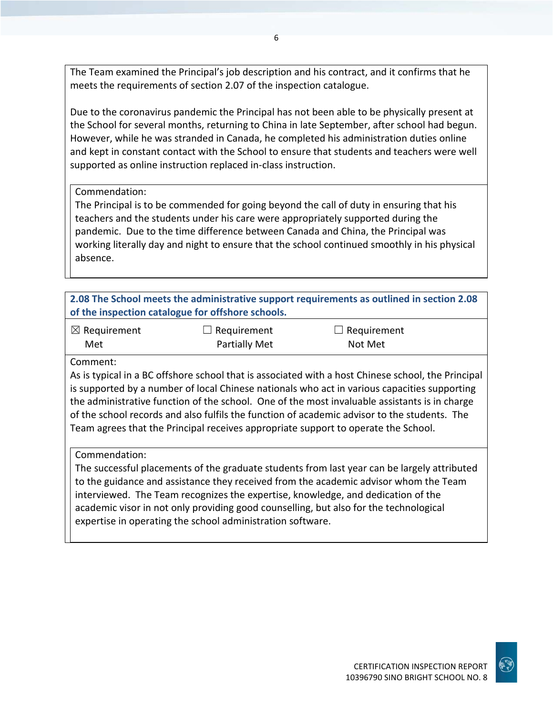The Team examined the Principal's job description and his contract, and it confirms that he meets the requirements of section 2.07 of the inspection catalogue.

Due to the coronavirus pandemic the Principal has not been able to be physically present at the School for several months, returning to China in late September, after school had begun. However, while he was stranded in Canada, he completed his administration duties online and kept in constant contact with the School to ensure that students and teachers were well supported as online instruction replaced in-class instruction.

#### Commendation:

The Principal is to be commended for going beyond the call of duty in ensuring that his teachers and the students under his care were appropriately supported during the pandemic. Due to the time difference between Canada and China, the Principal was working literally day and night to ensure that the school continued smoothly in his physical absence.

|                                | of the inspection catalogue for offshore schools. | 2.08 The School meets the administrative support requirements as outlined in section 2.08                                                                                                                                                                                                                                                                                                                                                                                                 |
|--------------------------------|---------------------------------------------------|-------------------------------------------------------------------------------------------------------------------------------------------------------------------------------------------------------------------------------------------------------------------------------------------------------------------------------------------------------------------------------------------------------------------------------------------------------------------------------------------|
| $\boxtimes$ Requirement<br>Met | Requirement<br>Partially Met                      | Requirement<br>ш<br>Not Met                                                                                                                                                                                                                                                                                                                                                                                                                                                               |
| Comment:                       |                                                   | As is typical in a BC offshore school that is associated with a host Chinese school, the Principal<br>is supported by a number of local Chinese nationals who act in various capacities supporting<br>the administrative function of the school. One of the most invaluable assistants is in charge<br>of the school records and also fulfils the function of academic advisor to the students. The<br>Team agrees that the Principal receives appropriate support to operate the School. |
| Commendation:                  |                                                   | The successful placements of the graduate students from last year can be largely attributed<br>to the guidance and assistance they received from the academic advisor whom the Team<br>interviewed. The Team recognizes the expertise, knowledge, and dedication of the                                                                                                                                                                                                                   |

academic visor in not only providing good counselling, but also for the technological expertise in operating the school administration software.

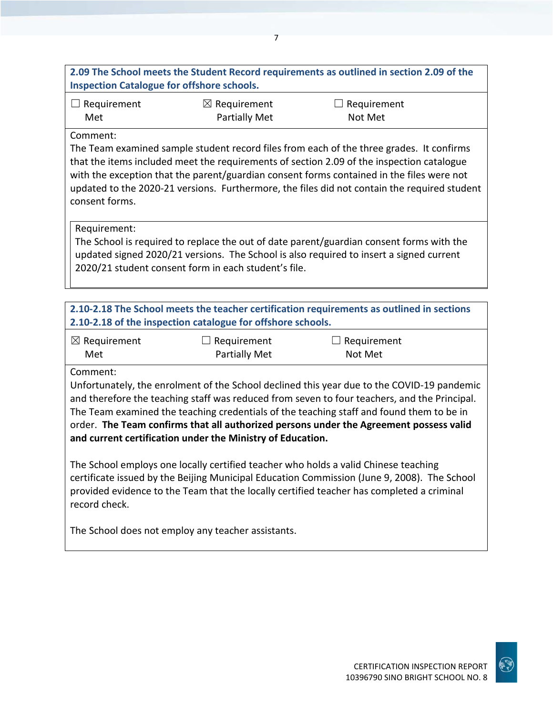## **2.09 The School meets the Student Record requirements as outlined in section 2.09 of the Inspection Catalogue for offshore schools.**

| $\Box$ Requirement | $\boxtimes$ Requirement | $\Box$ Requirement |
|--------------------|-------------------------|--------------------|
| Met                | Partially Met           | Not Met            |

#### Comment:

The Team examined sample student record files from each of the three grades. It confirms that the items included meet the requirements of section 2.09 of the inspection catalogue with the exception that the parent/guardian consent forms contained in the files were not updated to the 2020-21 versions. Furthermore, the files did not contain the required student consent forms.

#### Requirement:

The School is required to replace the out of date parent/guardian consent forms with the updated signed 2020/21 versions. The School is also required to insert a signed current 2020/21 student consent form in each student's file.

# **2.10-2.18 The School meets the teacher certification requirements as outlined in sections 2.10-2.18 of the inspection catalogue for offshore schools.**

| $\boxtimes$ Requirement | $\Box$ Requirement   | $\Box$ Requirement |
|-------------------------|----------------------|--------------------|
| Met                     | <b>Partially Met</b> | Not Met            |

Comment:

Unfortunately, the enrolment of the School declined this year due to the COVID-19 pandemic and therefore the teaching staff was reduced from seven to four teachers, and the Principal. The Team examined the teaching credentials of the teaching staff and found them to be in order. **The Team confirms that all authorized persons under the Agreement possess valid and current certification under the Ministry of Education.**

The School employs one locally certified teacher who holds a valid Chinese teaching certificate issued by the Beijing Municipal Education Commission (June 9, 2008). The School provided evidence to the Team that the locally certified teacher has completed a criminal record check.

The School does not employ any teacher assistants.

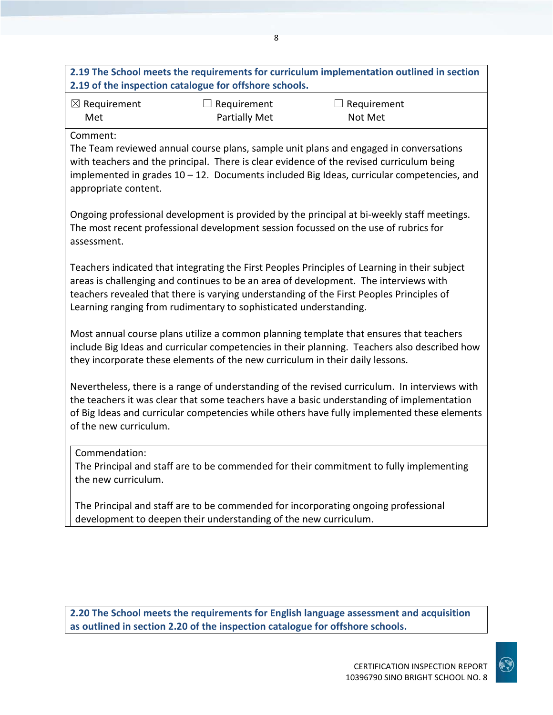## **2.19 The School meets the requirements for curriculum implementation outlined in section 2.19 of the inspection catalogue for offshore schools.**

8

| $\boxtimes$ Requirement | $\Box$ Requirement   | $\Box$ Requirement |
|-------------------------|----------------------|--------------------|
| Met                     | <b>Partially Met</b> | Not Met            |

Comment:

The Team reviewed annual course plans, sample unit plans and engaged in conversations with teachers and the principal. There is clear evidence of the revised curriculum being implemented in grades 10 – 12. Documents included Big Ideas, curricular competencies, and appropriate content.

Ongoing professional development is provided by the principal at bi-weekly staff meetings. The most recent professional development session focussed on the use of rubrics for assessment.

Teachers indicated that integrating the First Peoples Principles of Learning in their subject areas is challenging and continues to be an area of development. The interviews with teachers revealed that there is varying understanding of the First Peoples Principles of Learning ranging from rudimentary to sophisticated understanding.

Most annual course plans utilize a common planning template that ensures that teachers include Big Ideas and curricular competencies in their planning. Teachers also described how they incorporate these elements of the new curriculum in their daily lessons.

Nevertheless, there is a range of understanding of the revised curriculum. In interviews with the teachers it was clear that some teachers have a basic understanding of implementation of Big Ideas and curricular competencies while others have fully implemented these elements of the new curriculum.

#### Commendation:

The Principal and staff are to be commended for their commitment to fully implementing the new curriculum.

The Principal and staff are to be commended for incorporating ongoing professional development to deepen their understanding of the new curriculum.

**2.20 The School meets the requirements for English language assessment and acquisition as outlined in section 2.20 of the inspection catalogue for offshore schools.**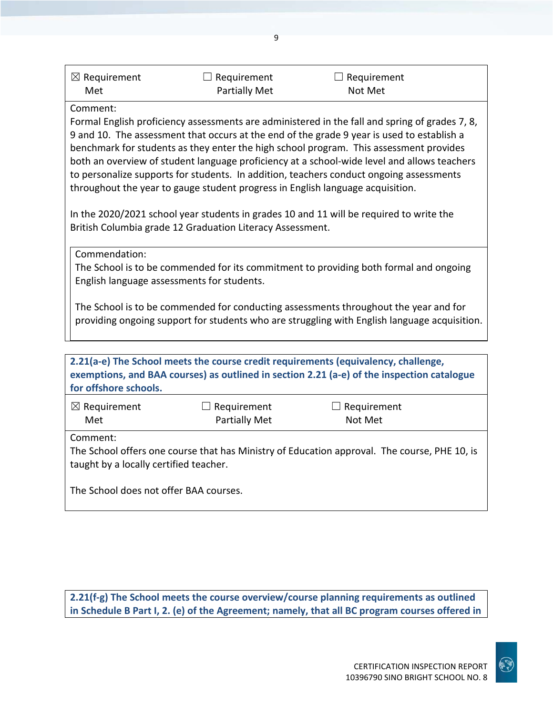| $\boxtimes$ Requirement | $\Box$ Requirement   | $\Box$ Requirement |  |
|-------------------------|----------------------|--------------------|--|
| Met                     | <b>Partially Met</b> | Not Met            |  |

 $\overline{q}$ 

#### Comment:

Formal English proficiency assessments are administered in the fall and spring of grades 7, 8, 9 and 10. The assessment that occurs at the end of the grade 9 year is used to establish a benchmark for students as they enter the high school program. This assessment provides both an overview of student language proficiency at a school-wide level and allows teachers to personalize supports for students. In addition, teachers conduct ongoing assessments throughout the year to gauge student progress in English language acquisition.

In the 2020/2021 school year students in grades 10 and 11 will be required to write the British Columbia grade 12 Graduation Literacy Assessment.

Commendation:

The School is to be commended for its commitment to providing both formal and ongoing English language assessments for students.

The School is to be commended for conducting assessments throughout the year and for providing ongoing support for students who are struggling with English language acquisition.

| 2.21(a-e) The School meets the course credit requirements (equivalency, challenge,<br>exemptions, and BAA courses) as outlined in section 2.21 (a-e) of the inspection catalogue<br>for offshore schools. |                              |                               |  |
|-----------------------------------------------------------------------------------------------------------------------------------------------------------------------------------------------------------|------------------------------|-------------------------------|--|
| $\boxtimes$ Requirement<br>Met                                                                                                                                                                            | Requirement<br>Partially Met | $\Box$ Requirement<br>Not Met |  |
| Comment:<br>The School offers one course that has Ministry of Education approval. The course, PHE 10, is<br>taught by a locally certified teacher.                                                        |                              |                               |  |
| The School does not offer BAA courses.                                                                                                                                                                    |                              |                               |  |

**2.21(f-g) The School meets the course overview/course planning requirements as outlined in Schedule B Part I, 2. (e) of the Agreement; namely, that all BC program courses offered in**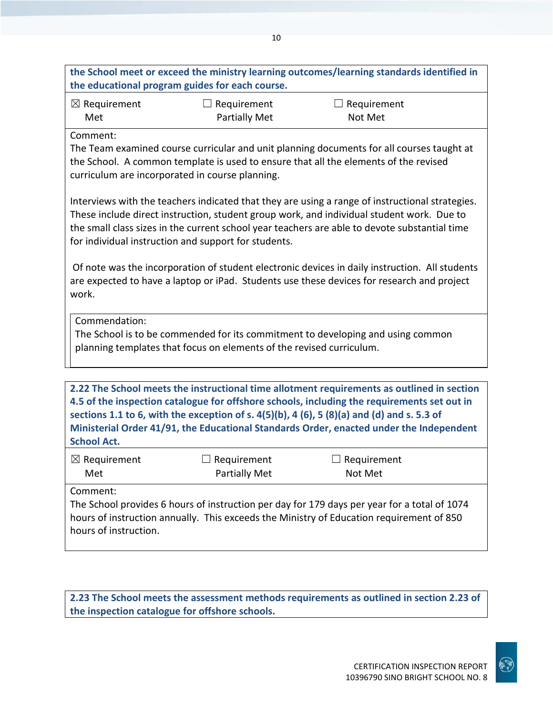**the School meet or exceed the ministry learning outcomes/learning standards identified in the educational program guides for each course.** ☒ Requirement Met  $\Box$  Requirement Partially Met  $\Box$  Requirement Not Met Comment: The Team examined course curricular and unit planning documents for all courses taught at the School. A common template is used to ensure that all the elements of the revised curriculum are incorporated in course planning. Interviews with the teachers indicated that they are using a range of instructional strategies. These include direct instruction, student group work, and individual student work. Due to the small class sizes in the current school year teachers are able to devote substantial time for individual instruction and support for students. Of note was the incorporation of student electronic devices in daily instruction. All students are expected to have a laptop or iPad. Students use these devices for research and project work. Commendation: The School is to be commended for its commitment to developing and using common planning templates that focus on elements of the revised curriculum. **2.22 The School meets the instructional time allotment requirements as outlined in section 4.5 of the inspection catalogue for offshore schools, including the requirements set out in sections 1.1 to 6, with the exception of s. 4(5)(b), 4 (6), 5 (8)(a) and (d) and s. 5.3 of Ministerial Order 41/91, the Educational Standards Order, enacted under the Independent School Act.** ☒ Requirement Met  $\Box$  Requirement Partially Met  $\Box$  Requirement Not Met Comment: The School provides 6 hours of instruction per day for 179 days per year for a total of 1074 hours of instruction annually. This exceeds the Ministry of Education requirement of 850 hours of instruction.

10

**2.23 The School meets the assessment methods requirements as outlined in section 2.23 of the inspection catalogue for offshore schools.**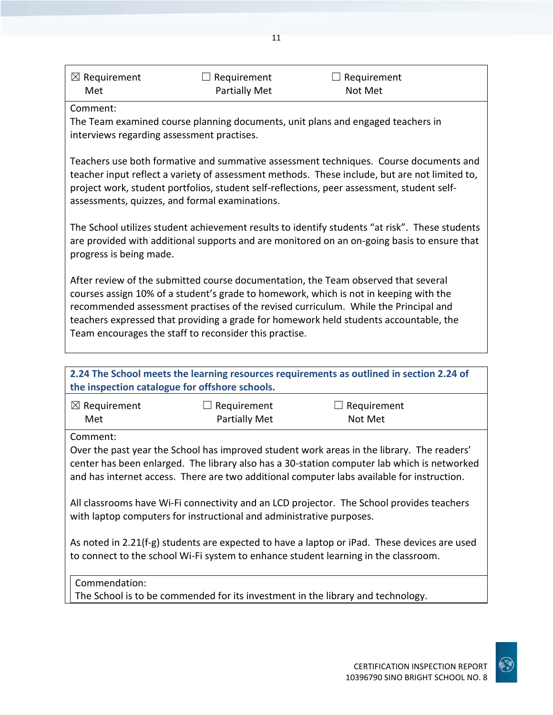| $\boxtimes$ Requirement | $\Box$ Requirement   | $\Box$ Requirement |  |
|-------------------------|----------------------|--------------------|--|
| Met                     | <b>Partially Met</b> | Not Met            |  |

#### Comment:

The Team examined course planning documents, unit plans and engaged teachers in interviews regarding assessment practises.

Teachers use both formative and summative assessment techniques. Course documents and teacher input reflect a variety of assessment methods. These include, but are not limited to, project work, student portfolios, student self-reflections, peer assessment, student selfassessments, quizzes, and formal examinations.

The School utilizes student achievement results to identify students "at risk". These students are provided with additional supports and are monitored on an on-going basis to ensure that progress is being made.

After review of the submitted course documentation, the Team observed that several courses assign 10% of a student's grade to homework, which is not in keeping with the recommended assessment practises of the revised curriculum. While the Principal and teachers expressed that providing a grade for homework held students accountable, the Team encourages the staff to reconsider this practise.

| 2.24 The School meets the learning resources requirements as outlined in section 2.24 of<br>the inspection catalogue for offshore schools.                                                                                                                                                                                                                                                                                                                                                                                                                                                                                                                      |                              |                                                                                 |  |
|-----------------------------------------------------------------------------------------------------------------------------------------------------------------------------------------------------------------------------------------------------------------------------------------------------------------------------------------------------------------------------------------------------------------------------------------------------------------------------------------------------------------------------------------------------------------------------------------------------------------------------------------------------------------|------------------------------|---------------------------------------------------------------------------------|--|
| $\boxtimes$ Requirement<br>Met                                                                                                                                                                                                                                                                                                                                                                                                                                                                                                                                                                                                                                  | Requirement<br>Partially Met | Requirement<br>Not Met                                                          |  |
| Comment:<br>Over the past year the School has improved student work areas in the library. The readers'<br>center has been enlarged. The library also has a 30-station computer lab which is networked<br>and has internet access. There are two additional computer labs available for instruction.<br>All classrooms have Wi-Fi connectivity and an LCD projector. The School provides teachers<br>with laptop computers for instructional and administrative purposes.<br>As noted in 2.21(f-g) students are expected to have a laptop or iPad. These devices are used<br>to connect to the school Wi-Fi system to enhance student learning in the classroom. |                              |                                                                                 |  |
| Commendation:                                                                                                                                                                                                                                                                                                                                                                                                                                                                                                                                                                                                                                                   |                              | The School is to be commended for its investment in the library and technology. |  |



11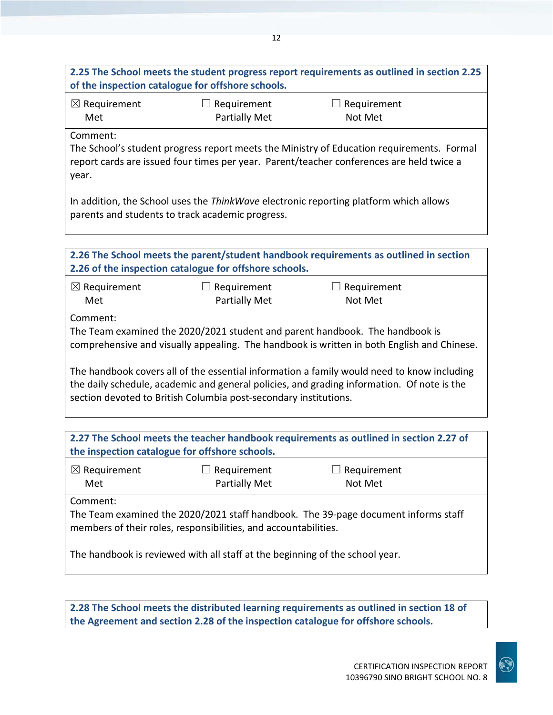# **2.25 The School meets the student progress report requirements as outlined in section 2.25 of the inspection catalogue for offshore schools.**

| $\boxtimes$ Requirement | $\Box$ Requirement   | $\Box$ Requirement |
|-------------------------|----------------------|--------------------|
| Met                     | <b>Partially Met</b> | Not Met            |

Comment:

The School's student progress report meets the Ministry of Education requirements. Formal report cards are issued four times per year. Parent/teacher conferences are held twice a year.

In addition, the School uses the *ThinkWave* electronic reporting platform which allows parents and students to track academic progress.

| 2.26 The School meets the parent/student handbook requirements as outlined in section                                                                                                                                                                        |                                                        |             |  |
|--------------------------------------------------------------------------------------------------------------------------------------------------------------------------------------------------------------------------------------------------------------|--------------------------------------------------------|-------------|--|
|                                                                                                                                                                                                                                                              | 2.26 of the inspection catalogue for offshore schools. |             |  |
| $\boxtimes$ Requirement                                                                                                                                                                                                                                      | Requirement                                            | Requirement |  |
| Met                                                                                                                                                                                                                                                          | <b>Partially Met</b>                                   | Not Met     |  |
| Comment:                                                                                                                                                                                                                                                     |                                                        |             |  |
| The Team examined the 2020/2021 student and parent handbook. The handbook is<br>comprehensive and visually appealing. The handbook is written in both English and Chinese.                                                                                   |                                                        |             |  |
| The handbook covers all of the essential information a family would need to know including<br>the daily schedule, academic and general policies, and grading information. Of note is the<br>section devoted to British Columbia post-secondary institutions. |                                                        |             |  |
|                                                                                                                                                                                                                                                              |                                                        |             |  |
| 2.27 The School meets the teacher handbook requirements as outlined in section 2.27 of                                                                                                                                                                       |                                                        |             |  |

**the inspection catalogue for offshore schools.**

| $\boxtimes$ Requirement | $\Box$ Requirement   | $\Box$ Requirement |
|-------------------------|----------------------|--------------------|
| Met                     | <b>Partially Met</b> | Not Met            |

Comment:

The Team examined the 2020/2021 staff handbook. The 39-page document informs staff members of their roles, responsibilities, and accountabilities.

The handbook is reviewed with all staff at the beginning of the school year.

**2.28 The School meets the distributed learning requirements as outlined in section 18 of the Agreement and section 2.28 of the inspection catalogue for offshore schools.**

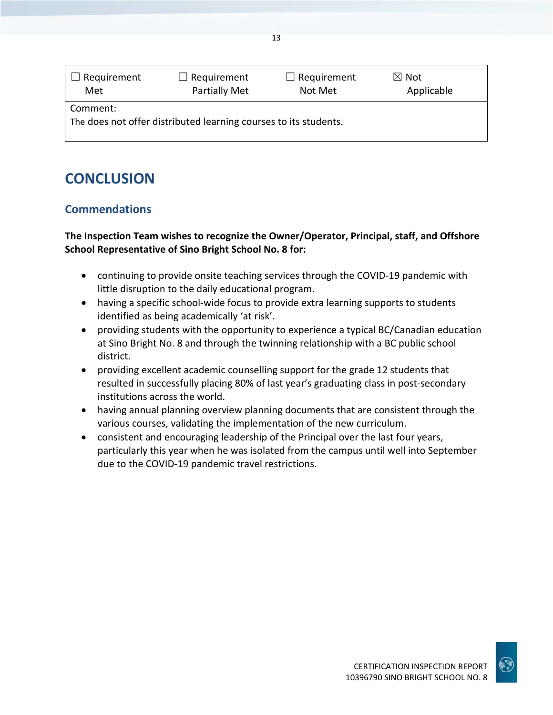| Requirement                                                                  | $\Box$ Requirement | $\Box$ Requirement | $\boxtimes$ Not |
|------------------------------------------------------------------------------|--------------------|--------------------|-----------------|
| Met                                                                          | Partially Met      | Not Met            | Applicable      |
| Comment:<br>The does not offer distributed learning courses to its students. |                    |                    |                 |

# **CONCLUSION**

## **Commendations**

### **The Inspection Team wishes to recognize the Owner/Operator, Principal, staff, and Offshore School Representative of Sino Bright School No. 8 for:**

- continuing to provide onsite teaching services through the COVID-19 pandemic with little disruption to the daily educational program.
- having a specific school-wide focus to provide extra learning supports to students identified as being academically 'at risk'.
- providing students with the opportunity to experience a typical BC/Canadian education at Sino Bright No. 8 and through the twinning relationship with a BC public school district.
- providing excellent academic counselling support for the grade 12 students that resulted in successfully placing 80% of last year's graduating class in post-secondary institutions across the world.
- having annual planning overview planning documents that are consistent through the various courses, validating the implementation of the new curriculum.
- consistent and encouraging leadership of the Principal over the last four years, particularly this year when he was isolated from the campus until well into September due to the COVID-19 pandemic travel restrictions.